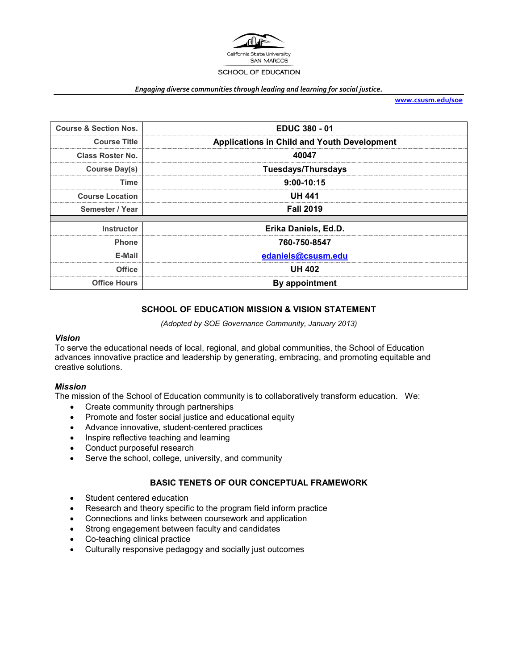

#### *Engaging diverse communities through leading and learning for social justice.*

**[www.csusm.edu/soe](http://www.csusm.edu/soe)**

| <b>Course &amp; Section Nos.</b> | <b>EDUC 380 - 01</b>                               |
|----------------------------------|----------------------------------------------------|
| <b>Course Title</b>              | <b>Applications in Child and Youth Development</b> |
| <b>Class Roster No.</b>          | 40047                                              |
| Course Day(s)                    | <b>Tuesdays/Thursdays</b>                          |
| Time                             | $9:00-10:15$                                       |
| <b>Course Location</b>           | UH 441                                             |
| Semester / Year                  | <b>Fall 2019</b>                                   |
|                                  |                                                    |
| <b>Instructor</b>                | Erika Daniels, Ed.D.                               |
| <b>Phone</b>                     | 760-750-8547                                       |
| E-Mail                           | edaniels@csusm.edu                                 |
| <b>Office</b>                    | <b>UH 402</b>                                      |
| <b>Office Hours</b>              | <b>By appointment</b>                              |

### **SCHOOL OF EDUCATION MISSION & VISION STATEMENT**

*(Adopted by SOE Governance Community, January 2013)*

#### *Vision*

To serve the educational needs of local, regional, and global communities, the School of Education advances innovative practice and leadership by generating, embracing, and promoting equitable and creative solutions.

#### *Mission*

The mission of the School of Education community is to collaboratively transform education. We:

- Create community through partnerships
- Promote and foster social justice and educational equity
- Advance innovative, student-centered practices
- Inspire reflective teaching and learning
- Conduct purposeful research
- Serve the school, college, university, and community

### **BASIC TENETS OF OUR CONCEPTUAL FRAMEWORK**

- Student centered education
- Research and theory specific to the program field inform practice
- Connections and links between coursework and application
- Strong engagement between faculty and candidates
- Co-teaching clinical practice
- Culturally responsive pedagogy and socially just outcomes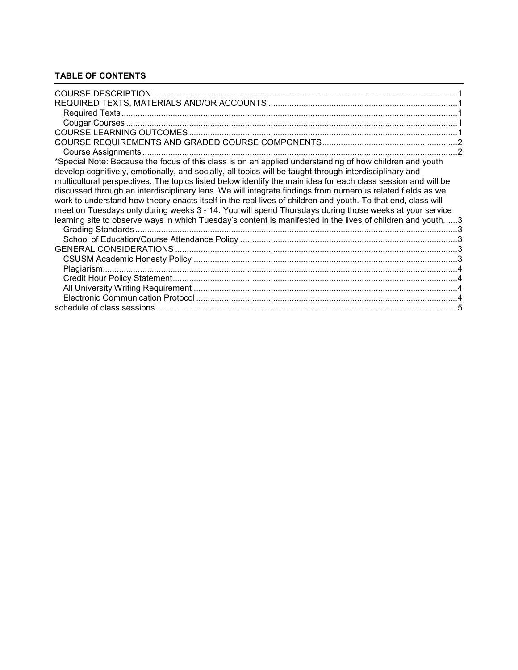# **TABLE OF CONTENTS**

| *Special Note: Because the focus of this class is on an applied understanding of how children and youth                                                                                                                                                                                                                                |  |
|----------------------------------------------------------------------------------------------------------------------------------------------------------------------------------------------------------------------------------------------------------------------------------------------------------------------------------------|--|
| develop cognitively, emotionally, and socially, all topics will be taught through interdisciplinary and<br>multicultural perspectives. The topics listed below identify the main idea for each class session and will be<br>discussed through an interdisciplinary lens. We will integrate findings from numerous related fields as we |  |
| work to understand how theory enacts itself in the real lives of children and youth. To that end, class will                                                                                                                                                                                                                           |  |
| meet on Tuesdays only during weeks 3 - 14. You will spend Thursdays during those weeks at your service                                                                                                                                                                                                                                 |  |
| learning site to observe ways in which Tuesday's content is manifested in the lives of children and youth3                                                                                                                                                                                                                             |  |
|                                                                                                                                                                                                                                                                                                                                        |  |
|                                                                                                                                                                                                                                                                                                                                        |  |
|                                                                                                                                                                                                                                                                                                                                        |  |
|                                                                                                                                                                                                                                                                                                                                        |  |
|                                                                                                                                                                                                                                                                                                                                        |  |
|                                                                                                                                                                                                                                                                                                                                        |  |
|                                                                                                                                                                                                                                                                                                                                        |  |
|                                                                                                                                                                                                                                                                                                                                        |  |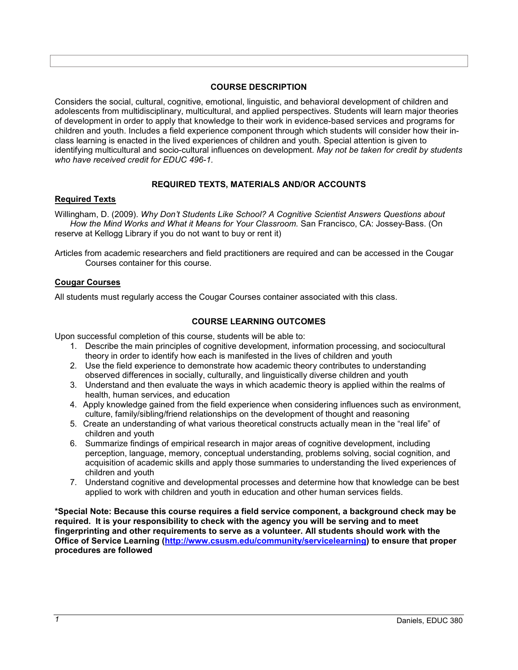#### **COURSE DESCRIPTION**

<span id="page-2-0"></span>Considers the social, cultural, cognitive, emotional, linguistic, and behavioral development of children and adolescents from multidisciplinary, multicultural, and applied perspectives. Students will learn major theories of development in order to apply that knowledge to their work in evidence-based services and programs for children and youth. Includes a field experience component through which students will consider how their inclass learning is enacted in the lived experiences of children and youth. Special attention is given to identifying multicultural and socio-cultural influences on development. *May not be taken for credit by students who have received credit for EDUC 496-1.*

#### **REQUIRED TEXTS, MATERIALS AND/OR ACCOUNTS**

#### <span id="page-2-2"></span><span id="page-2-1"></span>**Required Texts**

Willingham, D. (2009). *Why Don't Students Like School? A Cognitive Scientist Answers Questions about How the Mind Works and What it Means for Your Classroom.* San Francisco, CA: Jossey-Bass. (On reserve at Kellogg Library if you do not want to buy or rent it)

Articles from academic researchers and field practitioners are required and can be accessed in the Cougar Courses container for this course.

#### <span id="page-2-3"></span>**Cougar Courses**

<span id="page-2-4"></span>All students must regularly access the Cougar Courses container associated with this class.

### **COURSE LEARNING OUTCOMES**

Upon successful completion of this course, students will be able to:

- 1. Describe the main principles of cognitive development, information processing, and sociocultural theory in order to identify how each is manifested in the lives of children and youth
- 2. Use the field experience to demonstrate how academic theory contributes to understanding observed differences in socially, culturally, and linguistically diverse children and youth
- 3. Understand and then evaluate the ways in which academic theory is applied within the realms of health, human services, and education
- 4. Apply knowledge gained from the field experience when considering influences such as environment, culture, family/sibling/friend relationships on the development of thought and reasoning
- 5. Create an understanding of what various theoretical constructs actually mean in the "real life" of children and youth
- 6. Summarize findings of empirical research in major areas of cognitive development, including perception, language, memory, conceptual understanding, problems solving, social cognition, and acquisition of academic skills and apply those summaries to understanding the lived experiences of children and youth
- 7. Understand cognitive and developmental processes and determine how that knowledge can be best applied to work with children and youth in education and other human services fields.

**\*Special Note: Because this course requires a field service component, a background check may be required. It is your responsibility to check with the agency you will be serving and to meet fingerprinting and other requirements to serve as a volunteer. All students should work with the Office of Service Learning [\(http://www.csusm.edu/community/servicelearning\)](http://www.csusm.edu/community/servicelearning) to ensure that proper procedures are followed**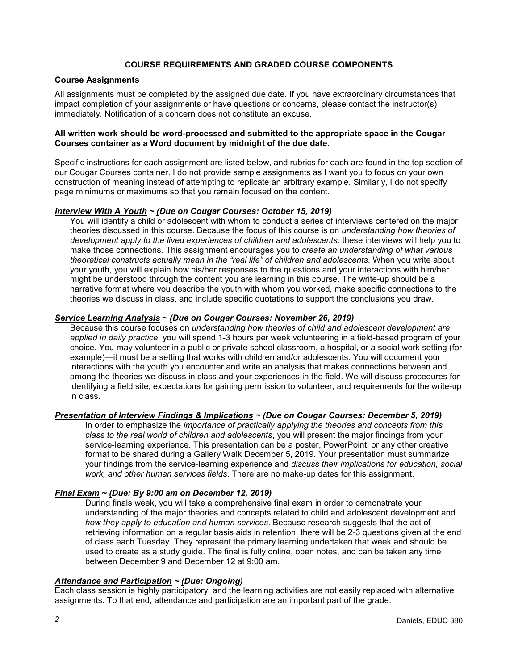### **COURSE REQUIREMENTS AND GRADED COURSE COMPONENTS**

### <span id="page-3-1"></span><span id="page-3-0"></span>**Course Assignments**

All assignments must be completed by the assigned due date. If you have extraordinary circumstances that impact completion of your assignments or have questions or concerns, please contact the instructor(s) immediately. Notification of a concern does not constitute an excuse.

#### **All written work should be word-processed and submitted to the appropriate space in the Cougar Courses container as a Word document by midnight of the due date.**

Specific instructions for each assignment are listed below, and rubrics for each are found in the top section of our Cougar Courses container. I do not provide sample assignments as I want you to focus on your own construction of meaning instead of attempting to replicate an arbitrary example. Similarly, I do not specify page minimums or maximums so that you remain focused on the content.

#### *Interview With A Youth ~ (Due on Cougar Courses: October 15, 2019)*

You will identify a child or adolescent with whom to conduct a series of interviews centered on the major theories discussed in this course. Because the focus of this course is on *understanding how theories of development apply to the lived experiences of children and adolescents,* these interviews will help you to make those connections*.* This assignment encourages you to *create an understanding of what various theoretical constructs actually mean in the "real life" of children and adolescents*. When you write about your youth, you will explain how his/her responses to the questions and your interactions with him/her might be understood through the content you are learning in this course. The write-up should be a narrative format where you describe the youth with whom you worked, make specific connections to the theories we discuss in class, and include specific quotations to support the conclusions you draw.

#### *Service Learning Analysis ~ (Due on Cougar Courses: November 26, 2019)*

Because this course focuses on *understanding how theories of child and adolescent development are applied in daily practice*, you will spend 1-3 hours per week volunteering in a field-based program of your choice. You may volunteer in a public or private school classroom, a hospital, or a social work setting (for example)—it must be a setting that works with children and/or adolescents. You will document your interactions with the youth you encounter and write an analysis that makes connections between and among the theories we discuss in class and your experiences in the field. We will discuss procedures for identifying a field site, expectations for gaining permission to volunteer, and requirements for the write-up in class.

#### *Presentation of Interview Findings & Implications ~ (Due on Cougar Courses: December 5, 2019)*

In order to emphasize the *importance of practically applying the theories and concepts from this class to the real world of children and adolescents*, you will present the major findings from your service-learning experience. This presentation can be a poster, PowerPoint, or any other creative format to be shared during a Gallery Walk December 5, 2019. Your presentation must summarize your findings from the service-learning experience and *discuss their implications for education, social work, and other human services fields*. There are no make-up dates for this assignment.

#### *Final Exam ~ (Due: By 9:00 am on December 12, 2019)*

During finals week, you will take a comprehensive final exam in order to demonstrate your understanding of the major theories and concepts related to child and adolescent development and *how they apply to education and human services*. Because research suggests that the act of retrieving information on a regular basis aids in retention, there will be 2-3 questions given at the end of class each Tuesday. They represent the primary learning undertaken that week and should be used to create as a study guide. The final is fully online, open notes, and can be taken any time between December 9 and December 12 at 9:00 am.

#### *Attendance and Participation ~ (Due: Ongoing)*

Each class session is highly participatory, and the learning activities are not easily replaced with alternative assignments. To that end, attendance and participation are an important part of the grade.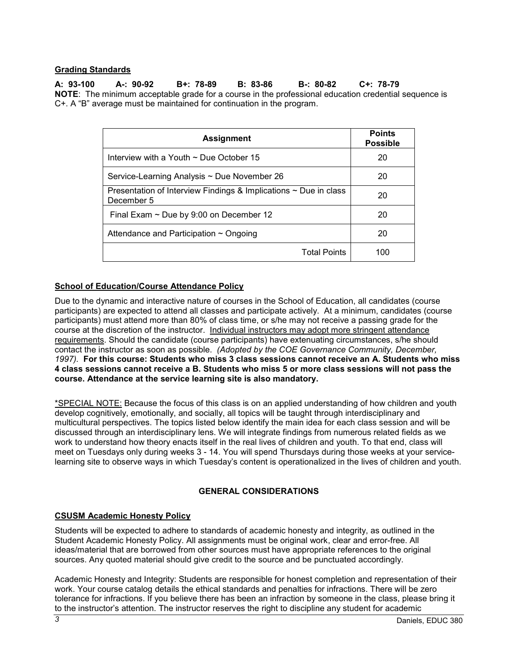### <span id="page-4-1"></span>**Grading Standards**

**A: 93-100 A-: 90-92 B+: 78-89 B: 83-86 B-: 80-82 C+: 78-79 NOTE**: The minimum acceptable grade for a course in the professional education credential sequence is C+. A "B" average must be maintained for continuation in the program.

| <b>Assignment</b>                                                                   | <b>Points</b><br><b>Possible</b> |
|-------------------------------------------------------------------------------------|----------------------------------|
| Interview with a Youth $\sim$ Due October 15                                        | 20                               |
| Service-Learning Analysis ~ Due November 26                                         | 20                               |
| Presentation of Interview Findings & Implications $\sim$ Due in class<br>December 5 | 20                               |
| Final Exam $\sim$ Due by 9:00 on December 12                                        | 20                               |
| Attendance and Participation $\sim$ Ongoing                                         | 20                               |
| <b>Total Points</b>                                                                 | 100                              |

### <span id="page-4-2"></span>**School of Education/Course Attendance Policy**

Due to the dynamic and interactive nature of courses in the School of Education, all candidates (course participants) are expected to attend all classes and participate actively. At a minimum, candidates (course participants) must attend more than 80% of class time, or s/he may not receive a passing grade for the course at the discretion of the instructor. Individual instructors may adopt more stringent attendance requirements. Should the candidate (course participants) have extenuating circumstances, s/he should contact the instructor as soon as possible. *(Adopted by the COE Governance Community, December, 1997).* **For this course: Students who miss 3 class sessions cannot receive an A. Students who miss 4 class sessions cannot receive a B. Students who miss 5 or more class sessions will not pass the course. Attendance at the service learning site is also mandatory.**

<span id="page-4-0"></span>\*SPECIAL NOTE: Because the focus of this class is on an applied understanding of how children and youth develop cognitively, emotionally, and socially, all topics will be taught through interdisciplinary and multicultural perspectives. The topics listed below identify the main idea for each class session and will be discussed through an interdisciplinary lens. We will integrate findings from numerous related fields as we work to understand how theory enacts itself in the real lives of children and youth. To that end, class will meet on Tuesdays only during weeks 3 - 14. You will spend Thursdays during those weeks at your servicelearning site to observe ways in which Tuesday's content is operationalized in the lives of children and youth.

# **GENERAL CONSIDERATIONS**

### <span id="page-4-4"></span><span id="page-4-3"></span>**CSUSM Academic Honesty Policy**

Students will be expected to adhere to standards of academic honesty and integrity, as outlined in the Student Academic Honesty Policy. All assignments must be original work, clear and error-free. All ideas/material that are borrowed from other sources must have appropriate references to the original sources. Any quoted material should give credit to the source and be punctuated accordingly.

Academic Honesty and Integrity: Students are responsible for honest completion and representation of their work. Your course catalog details the ethical standards and penalties for infractions. There will be zero tolerance for infractions. If you believe there has been an infraction by someone in the class, please bring it to the instructor's attention. The instructor reserves the right to discipline any student for academic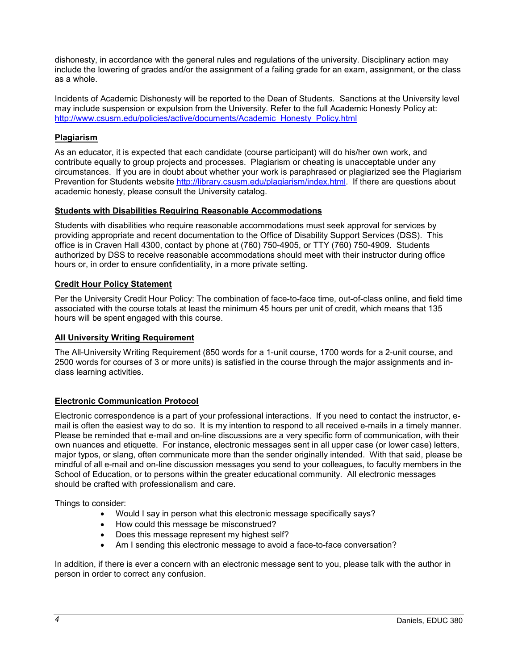dishonesty, in accordance with the general rules and regulations of the university. Disciplinary action may include the lowering of grades and/or the assignment of a failing grade for an exam, assignment, or the class as a whole.

Incidents of Academic Dishonesty will be reported to the Dean of Students. Sanctions at the University level may include suspension or expulsion from the University. Refer to the full Academic Honesty Policy at: [http://www.csusm.edu/policies/active/documents/Academic\\_Honesty\\_Policy.html](http://www.csusm.edu/policies/active/documents/Academic_Honesty_Policy.html)

### <span id="page-5-0"></span>**Plagiarism**

As an educator, it is expected that each candidate (course participant) will do his/her own work, and contribute equally to group projects and processes. Plagiarism or cheating is unacceptable under any circumstances. If you are in doubt about whether your work is paraphrased or plagiarized see the Plagiarism Prevention for Students website [http://library.csusm.edu/plagiarism/index.html.](http://library.csusm.edu/plagiarism/index.html) If there are questions about academic honesty, please consult the University catalog.

#### **Students with Disabilities Requiring Reasonable Accommodations**

Students with disabilities who require reasonable accommodations must seek approval for services by providing appropriate and recent documentation to the Office of Disability Support Services (DSS). This office is in Craven Hall 4300, contact by phone at (760) 750-4905, or TTY (760) 750-4909. Students authorized by DSS to receive reasonable accommodations should meet with their instructor during office hours or, in order to ensure confidentiality, in a more private setting.

### <span id="page-5-1"></span>**Credit Hour Policy Statement**

Per the University Credit Hour Policy: The combination of face-to-face time, out-of-class online, and field time associated with the course totals at least the minimum 45 hours per unit of credit, which means that 135 hours will be spent engaged with this course.

### <span id="page-5-2"></span>**All University Writing Requirement**

The All-University Writing Requirement (850 words for a 1-unit course, 1700 words for a 2-unit course, and 2500 words for courses of 3 or more units) is satisfied in the course through the major assignments and inclass learning activities.

### <span id="page-5-3"></span>**Electronic Communication Protocol**

Electronic correspondence is a part of your professional interactions. If you need to contact the instructor, email is often the easiest way to do so. It is my intention to respond to all received e-mails in a timely manner. Please be reminded that e-mail and on-line discussions are a very specific form of communication, with their own nuances and etiquette. For instance, electronic messages sent in all upper case (or lower case) letters, major typos, or slang, often communicate more than the sender originally intended. With that said, please be mindful of all e-mail and on-line discussion messages you send to your colleagues, to faculty members in the School of Education, or to persons within the greater educational community. All electronic messages should be crafted with professionalism and care.

Things to consider:

- Would I say in person what this electronic message specifically says?
- How could this message be misconstrued?
- Does this message represent my highest self?
- Am I sending this electronic message to avoid a face-to-face conversation?

In addition, if there is ever a concern with an electronic message sent to you, please talk with the author in person in order to correct any confusion.